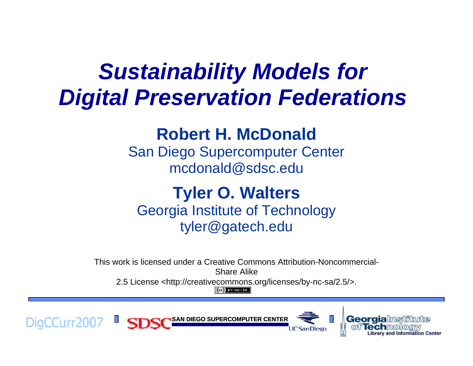## *Sustainability Models for Digital Preservation Federations*

### **Robert H. McDonald**

San Diego Supercomputer Center mcdonald@sdsc.edu

### **Tyler O. Walters** Georgia Institute of Technology tyler@gatech.edu

This work is licensed under a Creative Commons Attribution-Noncommercial-Share Alike

2.5 License <http://creativecommons.org/licenses/by-nc-sa/2.5/>.

 $(Cc)$  BY-NC-SA





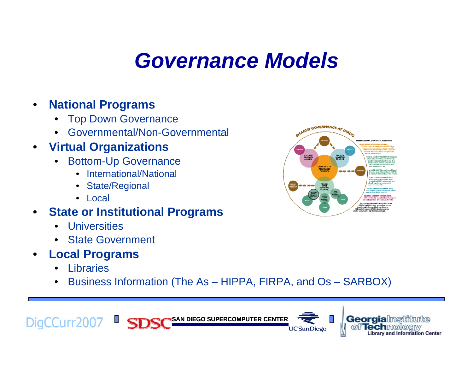## *Governance Models*

#### •**National Programs**

- •Top Down Governance
- •Governmental/Non-Governmental

#### $\bullet$ **Virtual Organizations**

- • Bottom-Up Governance
	- International/National
	- State/Regional
	- Local
- • **State or Institutional Programs**
	- •Universities
	- State Government
- • **Local Programs**
	- $\bullet$ Libraries
	- $\bullet$ Business Information (The As – HIPPA, FIRPA, and Os – SARBOX)



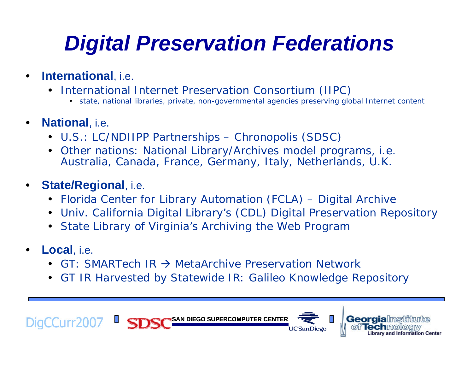# *Digital Preservation Federations*

- • **International**, i.e.
	- International Internet Preservation Consortium (IIPC)
		- state, national libraries, private, non-governmental agencies preserving global Internet content
- • **National**, i.e.
	- U.S.: LC/NDIIPP Partnerships Chronopolis (SDSC)
	- Other nations: National Library/Archives model programs, i.e. Australia, Canada, France, Germany, Italy, Netherlands, U.K.

#### •**State/Regional**, i.e.

- Florida Center for Library Automation (FCLA) Digital Archive
- Univ. California Digital Library's (CDL) Digital Preservation Repository
- State Library of Virginia's Archiving the Web Program
- • **Local**, i.e.
	- •• GT: SMARTech IR  $\rightarrow$  MetaArchive Preservation Network
	- GT IR Harvested by Statewide IR: Galileo Knowledge Repository

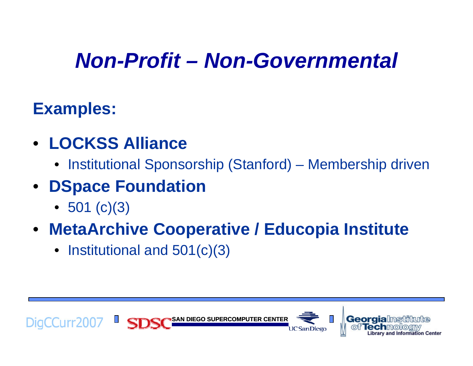## *Non-Profit – Non-Governmental*

## **Examples:**

- **LOCKSS Alliance**
	- Institutional Sponsorship (Stanford) Membership driven
- **DSpace Foundation**
	- 501 (c)(3)
- **MetaArchive Cooperative / Educopia Institute**
	- Institutional and 501(c)(3)

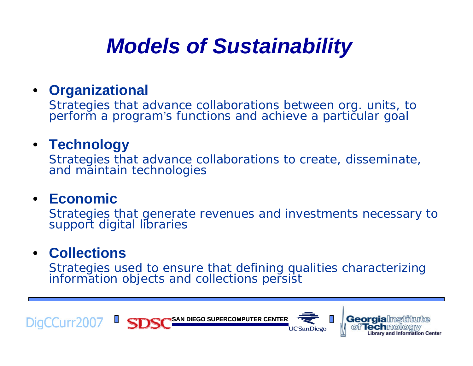## *Models of Sustainability*

### • **Organizational**

Strategies that advance collaborations between org. units, to perform a program's functions and achieve a particular goal

### • **Technology**

Strategies that advance collaborations to create, disseminate, and maintain technologies

### • **Economic**

Strategies that generate revenues and investments necessary to support digital libraries

### • **Collections**

Strategies used to ensure that defining qualities characterizing information objects and collections persist

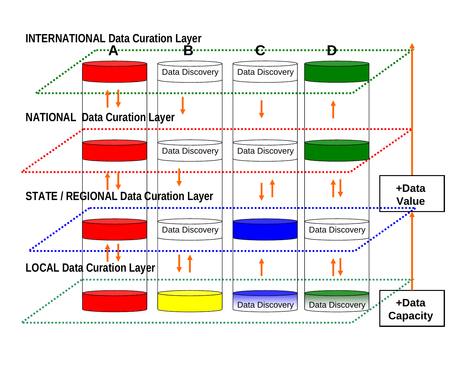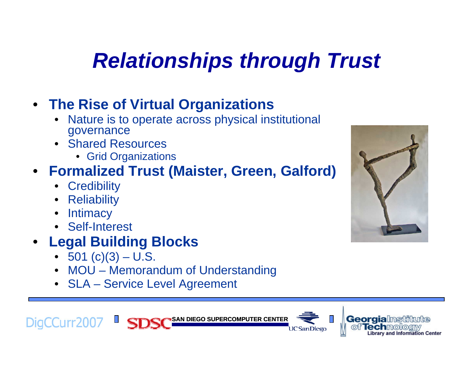# *Relationships through Trust*

### • **The Rise of Virtual Organizations**

- • Nature is to operate across physical institutional governance
- Shared Resources
	- Grid Organizations

### • **Formalized Trust (Maister, Green, Galford)**

- Credibility
- Reliability
- •**Intimacy**
- Self-Interest
- **Legal Building Blocks**
	- 501 (c)(3) U.S.
	- MOU Memorandum of Understanding
	- SLA Service Level Agreement







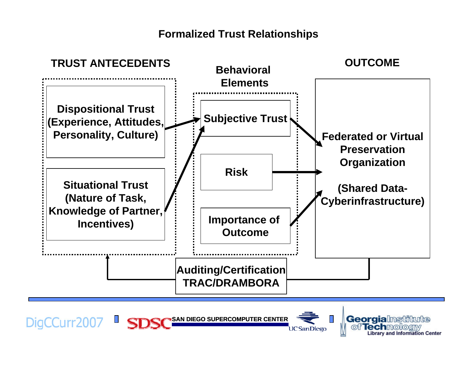#### **Formalized Trust Relationships**



DigCCurr2007 SD **SAN DIEGO SUPERCOMPUTER CENTER UCSanDiego**  **Georgialnstitute** of Technology and Information Center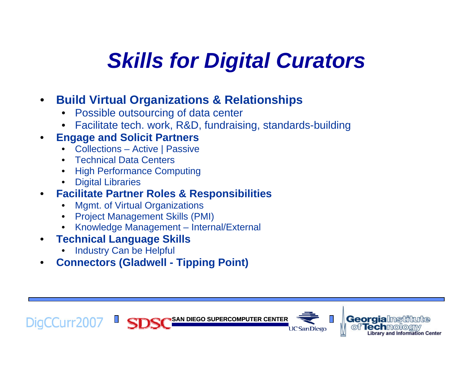# *Skills for Digital Curators*

#### •**Build Virtual Organizations & Relationships**

- •Possible outsourcing of data center
- •Facilitate tech. work, R&D, fundraising, standards-building

#### •**Engage and Solicit Partners**

- •Collections – Active | Passive
- Technical Data Centers
- High Performance Computing
- •Digital Libraries

#### $\bullet$ **Facilitate Partner Roles & Responsibilities**

- •Mgmt. of Virtual Organizations
- •Project Management Skills (PMI)
- •Knowledge Management – Internal/External
- $\bullet$  **Technical Language Skills** 
	- •Industry Can be Helpful
- $\bullet$ **Connectors (Gladwell - Tipping Point)**

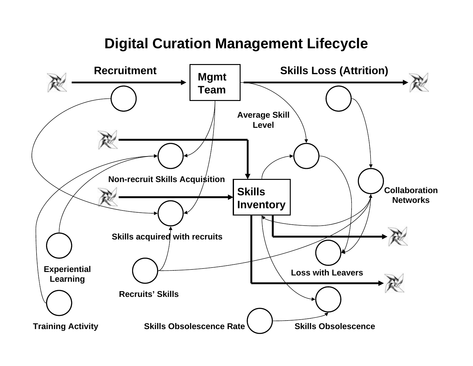### **Digital Curation Management Lifecycle**

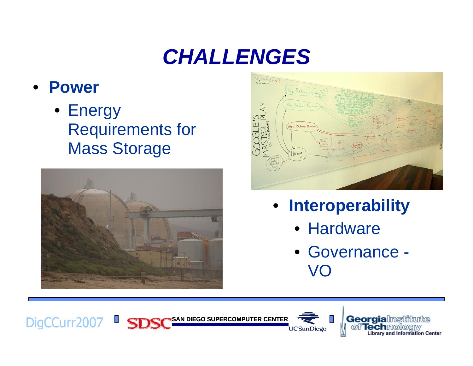## *CHALLENGES*

#### $\bullet$ **Power**

• Energy Requirements for Mass Storage





- **Interoperability**
	- Hardware
	- Governance VO